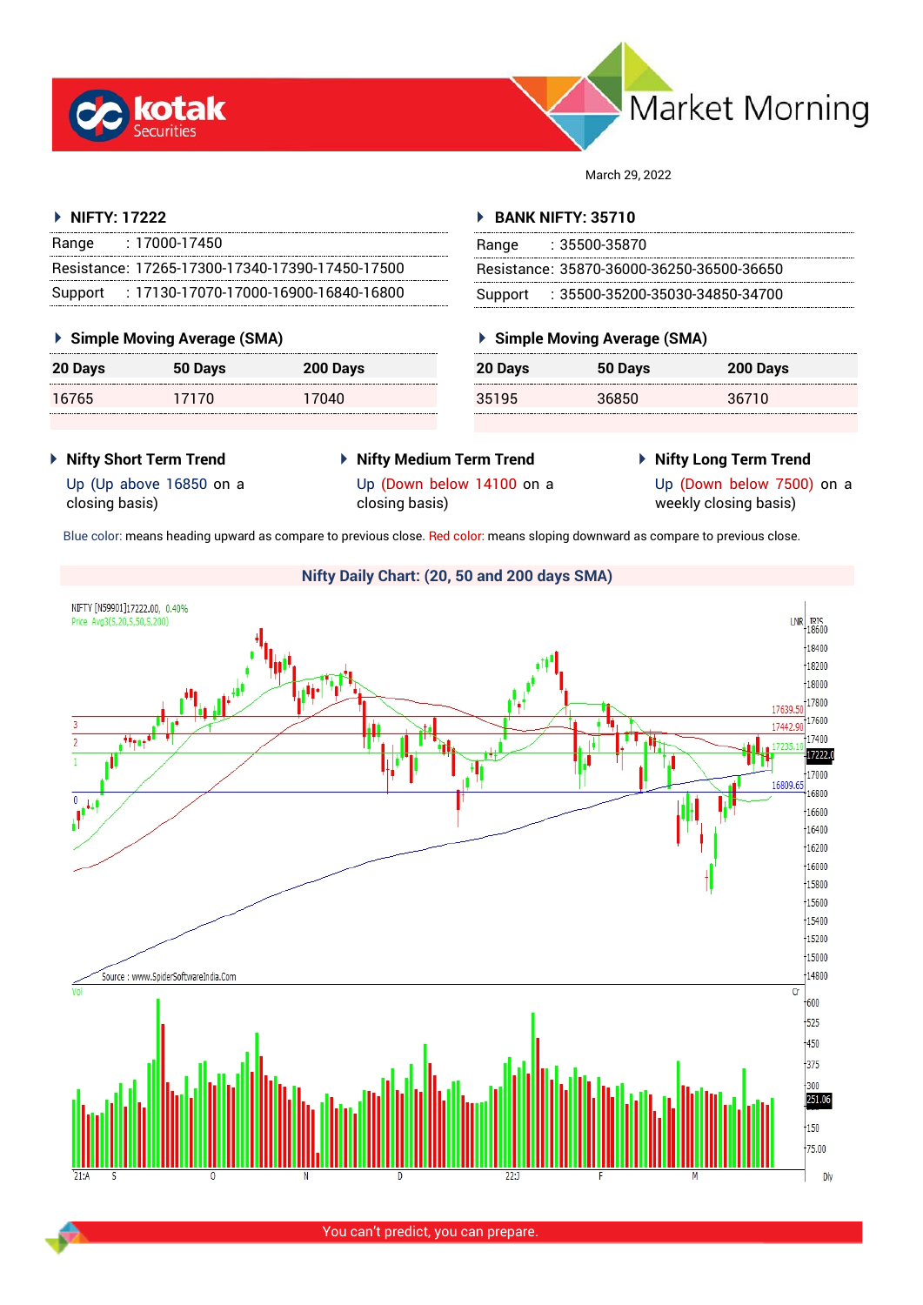



March 29, 2022

#### **NIFTY: 17222**

| Range   | : 17000-17450                                   |
|---------|-------------------------------------------------|
|         | Resistance: 17265-17300-17340-17390-17450-17500 |
| Support | : 17130-17070-17000-16900-16840-16800           |

## **Simple Moving Average (SMA)**

| <b>20 Days</b> | 50 Days | 200 Days |
|----------------|---------|----------|
| 16765          | 17170   | 17040    |

#### **BANK NIFTY: 35710**

| Range | : 35500-35870                             |
|-------|-------------------------------------------|
|       | Resistance: 35870-36000-36250-36500-36650 |
|       | Support : 35500-35200-35030-34850-34700   |

# **Simple Moving Average (SMA)**

| 20 Days | 50 Days | 200 Days |
|---------|---------|----------|
| 35195   | 36850   | 36710    |

- **Nifty Short Term Trend**
- **Nifty Medium Term Trend**
- **Nifty Long Term Trend**

Up (Up above 16850 on a closing basis)

- Up (Down below 14100 on a closing basis)
- 

Up (Down below 7500) on a weekly closing basis)

Blue color: means heading upward as compare to previous close. Red color: means sloping downward as compare to previous close.

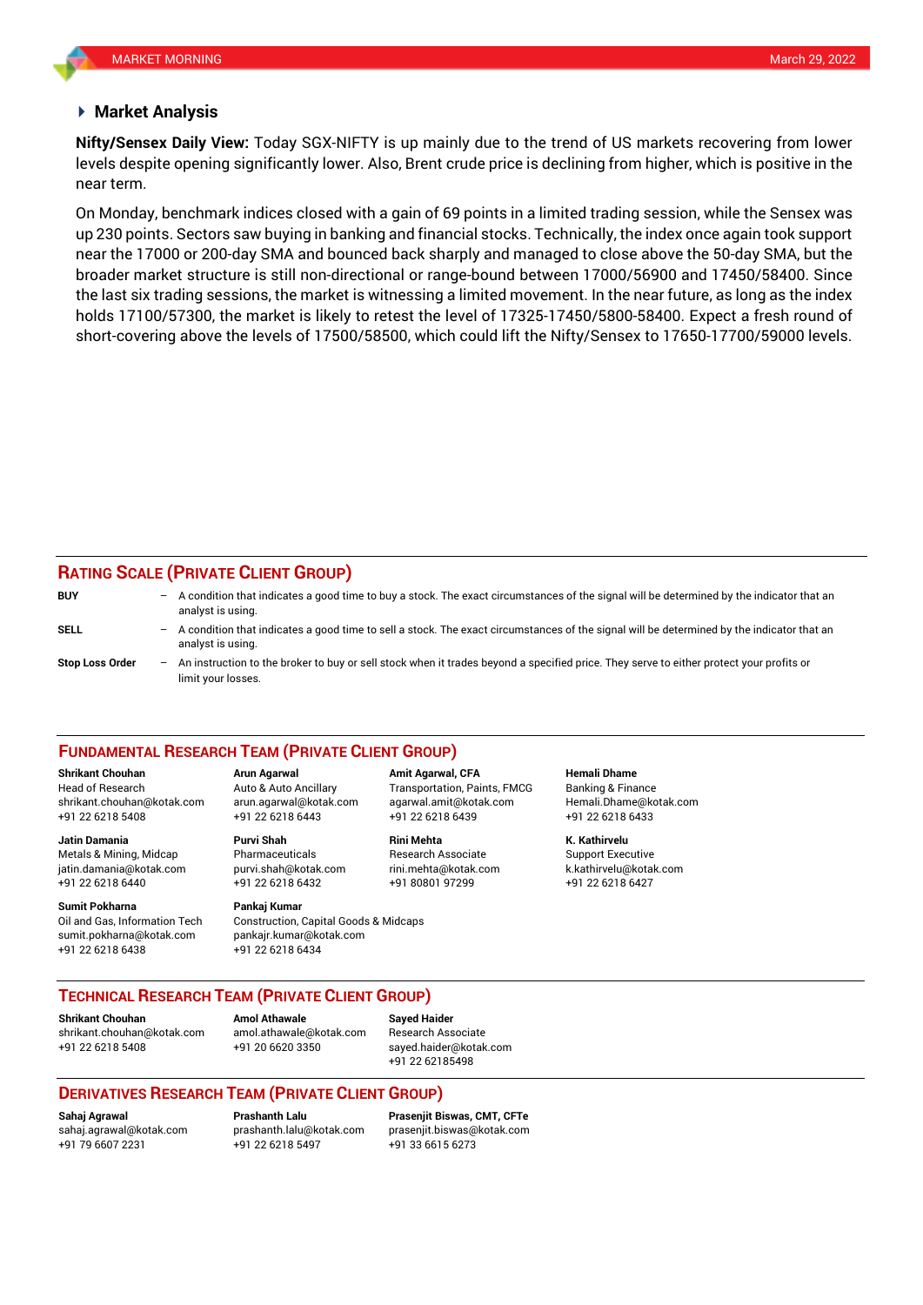#### **Market Analysis**

levels despite opening significantly lower. Also, Brent crude price is declining from higher, which is positive in the **Nifty/Sensex Daily View:** Today SGX-NIFTY is up mainly due to the trend of US markets recovering from lower near term.

On Monday, benchmark indices closed with a gain of 69 points in a limited trading session, while the Sensex was up 230 points. Sectors saw buying in banking and financial stocks. Technically, the index once again took support near the 17000 or 200-day SMA and bounced back sharply and managed to close above the 50-day SMA, but the broader market structure is still non-directional or range-bound between 17000/56900 and 17450/58400. Since the last six trading sessions, the market is witnessing a limited movement. In the near future, as long as the index holds 17100/57300, the market is likely to retest the level of 17325-17450/5800-58400. Expect a fresh round of short-covering above the levels of 17500/58500, which could lift the Nifty/Sensex to 17650-17700/59000 levels.

# **RATING SCALE (PRIVATE CLIENT GROUP)**

| <b>BUY</b>             | $-$ A condition that indicates a good time to buy a stock. The exact circumstances of the signal will be determined by the indicator that an<br>analyst is using. |
|------------------------|-------------------------------------------------------------------------------------------------------------------------------------------------------------------|
| SELL                   | A condition that indicates a good time to sell a stock. The exact circumstances of the signal will be determined by the indicator that an<br>analyst is using.    |
| <b>Stop Loss Order</b> | An instruction to the broker to buy or sell stock when it trades beyond a specified price. They serve to either protect your profits or<br>limit your losses.     |

#### **FUNDAMENTAL RESEARCH TEAM (PRIVATE CLIENT GROUP)**

#### **Shrikant Chouhan Arun Agarwal Amit Agarwal, CFA Hemali Dhame**

Head of Research Auto & Auto Ancillary Transportation, Paints, FMCG Banking & Finance [shrikant.chouhan@kotak.com](mailto:shrikant.chouhan@kotak.com) arun.agarwal@kotak.com agarwal.amit@kotak.com Hemali.Dhame@kotak.com

**Jatin Damania Purvi Shah Rini Mehta K. Kathirvelu** Metals & Mining, Midcap Pharmaceuticals Research Associate Support Executive jatin.damania@kotak.com [purvi.shah@kotak.com](mailto:purvi.shah@kotak.com) rini.mehta@kotak.com [k.kathirvelu@kotak.com](mailto:k.kathirvelu@kotak.com) +91 22 6218 6440 +91 22 6218 6432 +91 80801 97299 +91 22 6218 6427

**Sumit Pokharna** Pankaj Kumar Oil and Gas, Information Tech Construction, Capital Goods & Midcaps sumit.pokharna@kotak.com pankajr.kumar@kotak.com

+91 22 6218 5408 +91 22 6218 6443 +91 22 6218 6439 +91 22 6218 6433

+91 22 6218 6438 +91 22 6218 6434

**TECHNICAL RESEARCH TEAM (PRIVATE CLIENT GROUP)**

**Shrikant Chouhan Amol Athawale Sayed Haider**

[shrikant.chouhan@kotak.com](mailto:shrikant.chouhan@kotak.com) [amol.athawale@kotak.com](mailto:amol.athawale@kotak.com) Research Associate +91 22 6218 5408 +91 20 6620 3350 [sayed.haider@kotak.com](mailto:sayed.haider@kotak.com)

+91 22 62185498

## **DERIVATIVES RESEARCH TEAM (PRIVATE CLIENT GROUP)**

+91 22 6218 5497 +91 33 6615 6273

**Sahaj Agrawal Prashanth Lalu Prasenjit Biswas, CMT, CFTe** [sahaj.agrawal@kotak.com](mailto:sahaj.agrawal@kotak.com) [prashanth.lalu@kotak.com](mailto:prashanth.lalu@kotak.com) [prasenjit.biswas@kotak.com](mailto:prasenjit.biswas@kotak.com)